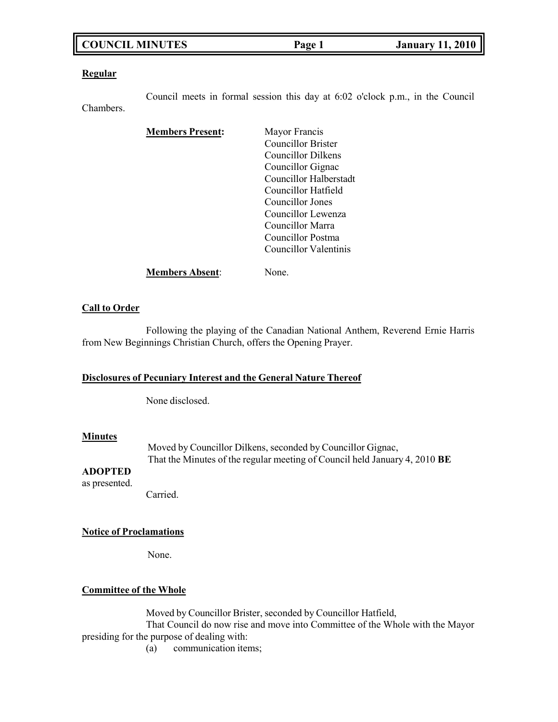## **COUNCIL MINUTES Page 1 January 11, 2010**

#### **Regular**

Council meets in formal session this day at 6:02 o'clock p.m., in the Council Chambers.

| <b>Members Present:</b> | Mayor Francis          |
|-------------------------|------------------------|
|                         | Councillor Brister     |
|                         | Councillor Dilkens     |
|                         | Councillor Gignac      |
|                         | Councillor Halberstadt |
|                         | Councillor Hatfield    |
|                         | Councillor Jones       |
|                         | Councillor Lewenza     |
|                         | Councillor Marra       |
|                         | Councillor Postma      |
|                         | Councillor Valentinis  |
| <b>Members Absent:</b>  | None.                  |

### **Call to Order**

Following the playing of the Canadian National Anthem, Reverend Ernie Harris from New Beginnings Christian Church, offers the Opening Prayer.

### **Disclosures of Pecuniary Interest and the General Nature Thereof**

None disclosed.

#### **Minutes**

Moved by Councillor Dilkens, seconded by Councillor Gignac, That the Minutes of the regular meeting of Council held January 4, 2010 **BE**

## **ADOPTED**

as presented.

Carried.

#### **Notice of Proclamations**

None.

### **Committee of the Whole**

Moved by Councillor Brister, seconded by Councillor Hatfield,

That Council do now rise and move into Committee of the Whole with the Mayor presiding for the purpose of dealing with:

(a) communication items;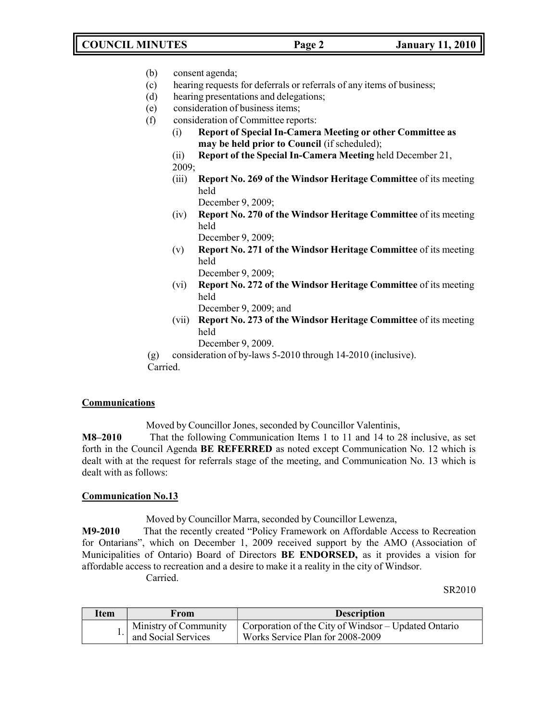## **COUNCIL MINUTES Page 2 January 11, 2010**

- (b) consent agenda;
- (c) hearing requests for deferrals or referrals of any items of business;
- (d) hearing presentations and delegations;
- (e) consideration of business items;
- (f) consideration of Committee reports:
	- (i) **Report of Special In-Camera Meeting or other Committee as may be held prior to Council** (if scheduled);
	- (ii) **Report of the Special In-Camera Meeting** held December 21, 2009;
	- (iii) **Report No. 269 of the Windsor Heritage Committee** of its meeting held

December 9, 2009;

(iv) **Report No. 270 of the Windsor Heritage Committee** of its meeting held

December 9, 2009;

(v) **Report No. 271 of the Windsor Heritage Committee** of its meeting held

December 9, 2009;

(vi) **Report No. 272 of the Windsor Heritage Committee** of its meeting held

December 9, 2009; and

(vii) **Report No. 273 of the Windsor Heritage Committee** of its meeting held

December 9, 2009.

(g) consideration of by-laws 5-2010 through 14-2010 (inclusive).

Carried.

#### **Communications**

Moved by Councillor Jones, seconded by Councillor Valentinis,

**M8–2010** That the following Communication Items 1 to 11 and 14 to 28 inclusive, as set forth in the Council Agenda **BE REFERRED** as noted except Communication No. 12 which is dealt with at the request for referrals stage of the meeting, and Communication No. 13 which is dealt with as follows:

### **Communication No.13**

Moved by Councillor Marra, seconded by Councillor Lewenza,

**M9-2010** That the recently created "Policy Framework on Affordable Access to Recreation for Ontarians", which on December 1, 2009 received support by the AMO (Association of Municipalities of Ontario) Board of Directors **BE ENDORSED,** as it provides a vision for affordable access to recreation and a desire to make it a reality in the city of Windsor.

Carried.

#### SR2010

| Item | From                                         | <b>Description</b>                                                                               |
|------|----------------------------------------------|--------------------------------------------------------------------------------------------------|
|      | Ministry of Community<br>and Social Services | $\vert$ Corporation of the City of Windsor – Updated Ontario<br>Works Service Plan for 2008-2009 |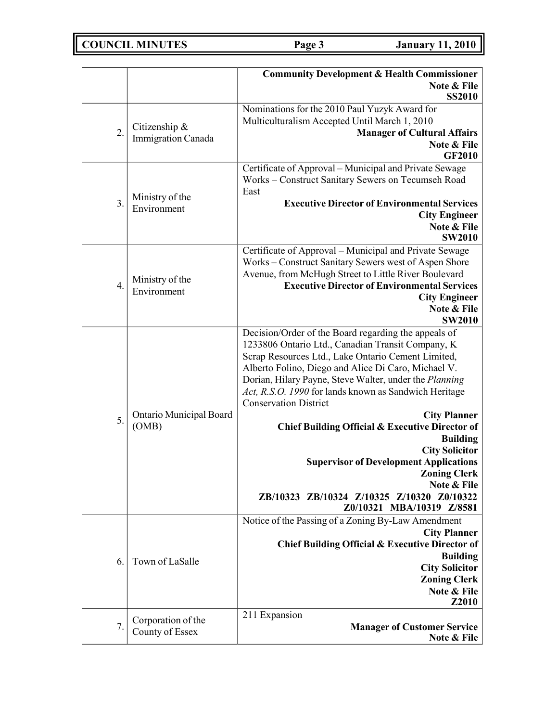|                  |                           | <b>Community Development &amp; Health Commissioner</b>     |
|------------------|---------------------------|------------------------------------------------------------|
|                  |                           | Note & File                                                |
|                  |                           | <b>SS2010</b>                                              |
|                  |                           | Nominations for the 2010 Paul Yuzyk Award for              |
| 2.               | Citizenship &             | Multiculturalism Accepted Until March 1, 2010              |
|                  | <b>Immigration Canada</b> | <b>Manager of Cultural Affairs</b><br>Note & File          |
|                  |                           | <b>GF2010</b>                                              |
|                  |                           | Certificate of Approval - Municipal and Private Sewage     |
|                  |                           | Works - Construct Sanitary Sewers on Tecumseh Road         |
|                  | Ministry of the           | East                                                       |
| $\overline{3}$ . | Environment               | <b>Executive Director of Environmental Services</b>        |
|                  |                           | <b>City Engineer</b>                                       |
|                  |                           | Note & File                                                |
|                  |                           | <b>SW2010</b>                                              |
|                  |                           | Certificate of Approval - Municipal and Private Sewage     |
|                  |                           | Works - Construct Sanitary Sewers west of Aspen Shore      |
|                  | Ministry of the           | Avenue, from McHugh Street to Little River Boulevard       |
| 4.               | Environment               | <b>Executive Director of Environmental Services</b>        |
|                  |                           | <b>City Engineer</b><br>Note & File                        |
|                  |                           | <b>SW2010</b>                                              |
|                  |                           | Decision/Order of the Board regarding the appeals of       |
|                  |                           | 1233806 Ontario Ltd., Canadian Transit Company, K          |
|                  |                           | Scrap Resources Ltd., Lake Ontario Cement Limited,         |
|                  |                           | Alberto Folino, Diego and Alice Di Caro, Michael V.        |
|                  |                           | Dorian, Hilary Payne, Steve Walter, under the Planning     |
|                  |                           | Act, R.S.O. 1990 for lands known as Sandwich Heritage      |
|                  |                           | <b>Conservation District</b>                               |
| 5.               | Ontario Municipal Board   | <b>City Planner</b>                                        |
|                  | (OMB)                     | Chief Building Official & Executive Director of            |
|                  |                           | <b>Building</b><br><b>City Solicitor</b>                   |
|                  |                           | <b>Supervisor of Development Applications</b>              |
|                  |                           | <b>Zoning Clerk</b>                                        |
|                  |                           | Note & File                                                |
|                  |                           | ZB/10323 ZB/10324 Z/10325 Z/10320 Z0/10322                 |
|                  |                           | Z0/10321 MBA/10319 Z/8581                                  |
|                  |                           | Notice of the Passing of a Zoning By-Law Amendment         |
|                  |                           | <b>City Planner</b>                                        |
|                  |                           | <b>Chief Building Official &amp; Executive Director of</b> |
| 6.               | Town of LaSalle           | <b>Building</b><br><b>City Solicitor</b>                   |
|                  |                           | <b>Zoning Clerk</b>                                        |
|                  |                           | Note & File                                                |
|                  |                           | Z2010                                                      |
|                  | Corporation of the        | 211 Expansion                                              |
| 7.               | County of Essex           | <b>Manager of Customer Service</b>                         |
|                  |                           | Note & File                                                |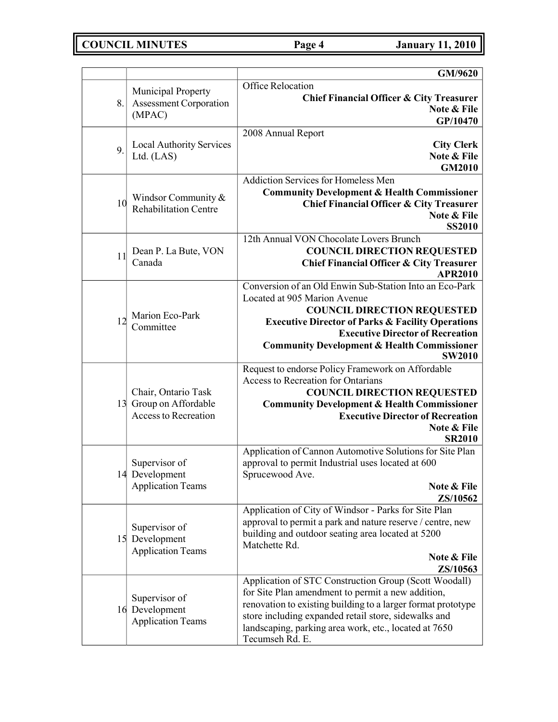**COUNCIL MINUTES Page 4 January 11, 2010**

|    |                                                                              | GM/9620                                                                                                                                                                                                                                                                                                             |
|----|------------------------------------------------------------------------------|---------------------------------------------------------------------------------------------------------------------------------------------------------------------------------------------------------------------------------------------------------------------------------------------------------------------|
| 8. | Municipal Property<br><b>Assessment Corporation</b><br>(MPAC)                | Office Relocation<br><b>Chief Financial Officer &amp; City Treasurer</b><br>Note & File<br>GP/10470                                                                                                                                                                                                                 |
| 9. | <b>Local Authority Services</b><br>Ltd. (LAS)                                | 2008 Annual Report<br><b>City Clerk</b><br>Note & File<br><b>GM2010</b>                                                                                                                                                                                                                                             |
| 10 | Windsor Community &<br><b>Rehabilitation Centre</b>                          | <b>Addiction Services for Homeless Men</b><br><b>Community Development &amp; Health Commissioner</b><br><b>Chief Financial Officer &amp; City Treasurer</b><br>Note & File<br><b>SS2010</b>                                                                                                                         |
| 11 | Dean P. La Bute, VON<br>Canada                                               | 12th Annual VON Chocolate Lovers Brunch<br><b>COUNCIL DIRECTION REQUESTED</b><br><b>Chief Financial Officer &amp; City Treasurer</b><br><b>APR2010</b>                                                                                                                                                              |
| 12 | Marion Eco-Park<br>Committee                                                 | Conversion of an Old Enwin Sub-Station Into an Eco-Park<br>Located at 905 Marion Avenue<br><b>COUNCIL DIRECTION REQUESTED</b><br><b>Executive Director of Parks &amp; Facility Operations</b><br><b>Executive Director of Recreation</b><br><b>Community Development &amp; Health Commissioner</b><br><b>SW2010</b> |
|    | Chair, Ontario Task<br>13 Group on Affordable<br><b>Access to Recreation</b> | Request to endorse Policy Framework on Affordable<br>Access to Recreation for Ontarians<br><b>COUNCIL DIRECTION REQUESTED</b><br><b>Community Development &amp; Health Commissioner</b><br><b>Executive Director of Recreation</b><br>Note & File<br><b>SR2010</b>                                                  |
|    | Supervisor of<br>14 Development<br><b>Application Teams</b>                  | Application of Cannon Automotive Solutions for Site Plan<br>approval to permit Industrial uses located at 600<br>Sprucewood Ave.<br>Note & File<br><b>ZS/10562</b>                                                                                                                                                  |
|    | Supervisor of<br>15 Development<br><b>Application Teams</b>                  | Application of City of Windsor - Parks for Site Plan<br>approval to permit a park and nature reserve / centre, new<br>building and outdoor seating area located at 5200<br>Matchette Rd.<br>Note & File<br><b>ZS/10563</b>                                                                                          |
|    | Supervisor of<br>16 Development<br><b>Application Teams</b>                  | Application of STC Construction Group (Scott Woodall)<br>for Site Plan amendment to permit a new addition,<br>renovation to existing building to a larger format prototype<br>store including expanded retail store, sidewalks and<br>landscaping, parking area work, etc., located at 7650<br>Tecumseh Rd. E.      |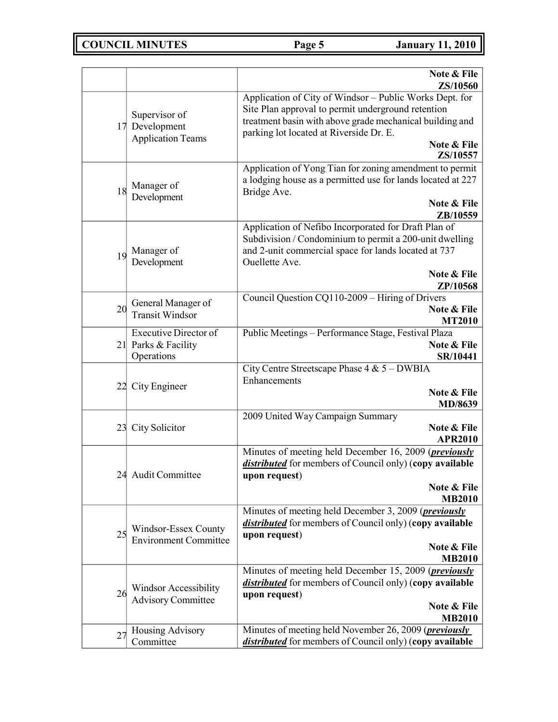|    |                                                                   | Note & File<br>ZS/10560                                                                                                                                                                                                                         |
|----|-------------------------------------------------------------------|-------------------------------------------------------------------------------------------------------------------------------------------------------------------------------------------------------------------------------------------------|
|    | Supervisor of<br>17 Development<br><b>Application Teams</b>       | Application of City of Windsor - Public Works Dept. for<br>Site Plan approval to permit underground retention<br>treatment basin with above grade mechanical building and<br>parking lot located at Riverside Dr. E.<br>Note & File<br>ZS/10557 |
| 18 | Manager of<br>Development                                         | Application of Yong Tian for zoning amendment to permit<br>a lodging house as a permitted use for lands located at 227<br>Bridge Ave.<br>Note & File<br>ZB/10559                                                                                |
| 19 | Manager of<br>Development                                         | Application of Nefibo Incorporated for Draft Plan of<br>Subdivision / Condominium to permit a 200-unit dwelling<br>and 2-unit commercial space for lands located at 737<br>Ouellette Ave.<br>Note & File<br>ZP/10568                            |
| 20 | General Manager of<br><b>Transit Windsor</b>                      | Council Question CQ110-2009 - Hiring of Drivers<br>Note & File<br><b>MT2010</b>                                                                                                                                                                 |
|    | <b>Executive Director of</b><br>21 Parks & Facility<br>Operations | Public Meetings - Performance Stage, Festival Plaza<br>Note & File<br>SR/10441                                                                                                                                                                  |
|    | 22 City Engineer                                                  | City Centre Streetscape Phase 4 & 5 - DWBIA<br>Enhancements<br>Note & File<br>MD/8639                                                                                                                                                           |
| 23 | City Solicitor                                                    | 2009 United Way Campaign Summary<br>Note & File<br><b>APR2010</b>                                                                                                                                                                               |
| 24 | Audit Committee                                                   | Minutes of meeting held December 16, 2009 ( <i>previously</i><br><i>distributed</i> for members of Council only) (copy available<br>upon request)<br>Note & File<br><b>MB2010</b>                                                               |
| 25 | Windsor-Essex County<br><b>Environment Committee</b>              | Minutes of meeting held December 3, 2009 ( <i>previously</i><br><i>distributed</i> for members of Council only) (copy available<br>upon request)<br>Note & File<br><b>MB2010</b>                                                                |
| 26 | Windsor Accessibility<br><b>Advisory Committee</b>                | Minutes of meeting held December 15, 2009 ( <i>previously</i><br><i>distributed</i> for members of Council only) (copy available<br>upon request)<br>Note & File<br><b>MB2010</b>                                                               |
| 27 | Housing Advisory<br>Committee                                     | Minutes of meeting held November 26, 2009 ( <i>previously</i><br><i>distributed</i> for members of Council only) (copy available                                                                                                                |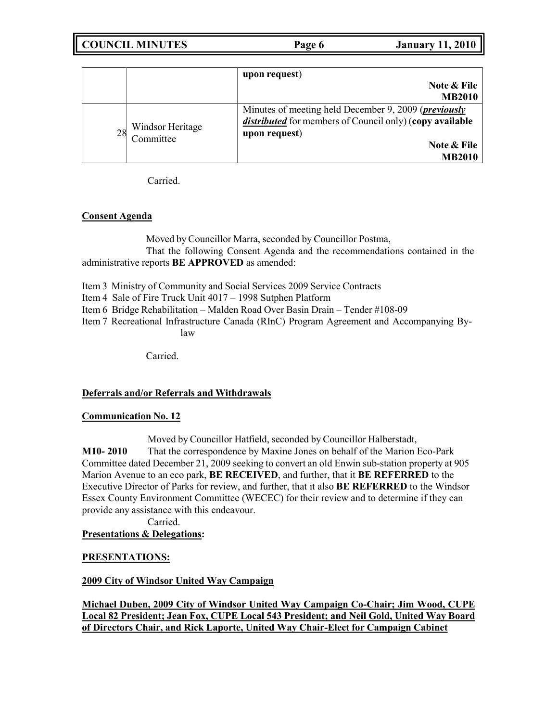| <b>COUNCIL MINUTES</b> | Page 6 | <b>January 11, 2010</b> |
|------------------------|--------|-------------------------|
|                        |        |                         |

|    |                               | upon request)<br>Note & File<br><b>MB2010</b>                                                                                                                                    |
|----|-------------------------------|----------------------------------------------------------------------------------------------------------------------------------------------------------------------------------|
| 28 | Windsor Heritage<br>Committee | Minutes of meeting held December 9, 2009 ( <i>previously</i><br><i>distributed</i> for members of Council only) (copy available<br>upon request)<br>Note & File<br><b>MB2010</b> |

Carried.

## **Consent Agenda**

Moved by Councillor Marra, seconded by Councillor Postma, That the following Consent Agenda and the recommendations contained in the administrative reports **BE APPROVED** as amended:

Item 3 Ministry of Community and Social Services 2009 Service Contracts

Item 4 Sale of Fire Truck Unit 4017 – 1998 Sutphen Platform

Item 6 Bridge Rehabilitation – Malden Road Over Basin Drain – Tender #108-09

Item 7 Recreational Infrastructure Canada (RInC) Program Agreement and Accompanying Bylaw

Carried.

## **Deferrals and/or Referrals and Withdrawals**

## **Communication No. 12**

Moved by Councillor Hatfield, seconded by Councillor Halberstadt, **M10- 2010** That the correspondence by Maxine Jones on behalf of the Marion Eco-Park Committee dated December 21, 2009 seeking to convert an old Enwin sub-station property at 905 Marion Avenue to an eco park, **BE RECEIVED**, and further, that it **BE REFERRED** to the Executive Director of Parks for review, and further, that it also **BE REFERRED** to the Windsor Essex County Environment Committee (WECEC) for their review and to determine if they can provide any assistance with this endeavour.

Carried.

## **Presentations & Delegations:**

## **PRESENTATIONS:**

## **2009 City of Windsor United Way Campaign**

**Michael Duben, 2009 City of Windsor United Way Campaign Co-Chair; Jim Wood, CUPE Local 82 President; Jean Fox, CUPE Local 543 President; and Neil Gold, United Way Board of Directors Chair, and Rick Laporte, United Way Chair-Elect for Campaign Cabinet**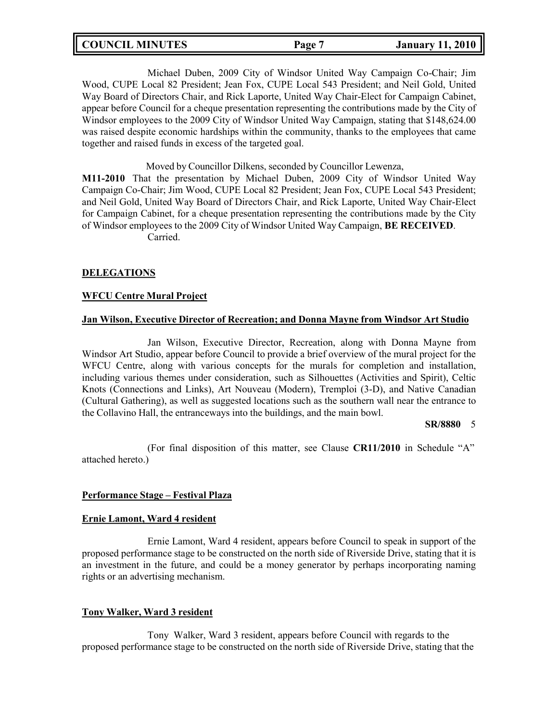## **COUNCIL MINUTES Page 7 January 11, 2010**

Michael Duben, 2009 City of Windsor United Way Campaign Co-Chair; Jim Wood, CUPE Local 82 President; Jean Fox, CUPE Local 543 President; and Neil Gold, United Way Board of Directors Chair, and Rick Laporte, United Way Chair-Elect for Campaign Cabinet, appear before Council for a cheque presentation representing the contributions made by the City of Windsor employees to the 2009 City of Windsor United Way Campaign, stating that \$148,624.00 was raised despite economic hardships within the community, thanks to the employees that came together and raised funds in excess of the targeted goal.

Moved by Councillor Dilkens, seconded by Councillor Lewenza,

**M11-2010** That the presentation by Michael Duben, 2009 City of Windsor United Way Campaign Co-Chair; Jim Wood, CUPE Local 82 President; Jean Fox, CUPE Local 543 President; and Neil Gold, United Way Board of Directors Chair, and Rick Laporte, United Way Chair-Elect for Campaign Cabinet, for a cheque presentation representing the contributions made by the City of Windsor employees to the 2009 City of Windsor United Way Campaign, **BE RECEIVED**. Carried.

**DELEGATIONS**

#### **WFCU Centre Mural Project**

#### **Jan Wilson, Executive Director of Recreation; and Donna Mayne from Windsor Art Studio**

Jan Wilson, Executive Director, Recreation, along with Donna Mayne from Windsor Art Studio, appear before Council to provide a brief overview of the mural project for the WFCU Centre, along with various concepts for the murals for completion and installation, including various themes under consideration, such as Silhouettes (Activities and Spirit), Celtic Knots (Connections and Links), Art Nouveau (Modern), Tremploi (3-D), and Native Canadian (Cultural Gathering), as well as suggested locations such as the southern wall near the entrance to the Collavino Hall, the entranceways into the buildings, and the main bowl.

#### **SR/8880** 5

(For final disposition of this matter, see Clause **CR11/2010** in Schedule "A" attached hereto.)

#### **Performance Stage – Festival Plaza**

#### **Ernie Lamont, Ward 4 resident**

Ernie Lamont, Ward 4 resident, appears before Council to speak in support of the proposed performance stage to be constructed on the north side of Riverside Drive, stating that it is an investment in the future, and could be a money generator by perhaps incorporating naming rights or an advertising mechanism.

### **Tony Walker, Ward 3 resident**

Tony Walker, Ward 3 resident, appears before Council with regards to the proposed performance stage to be constructed on the north side of Riverside Drive, stating that the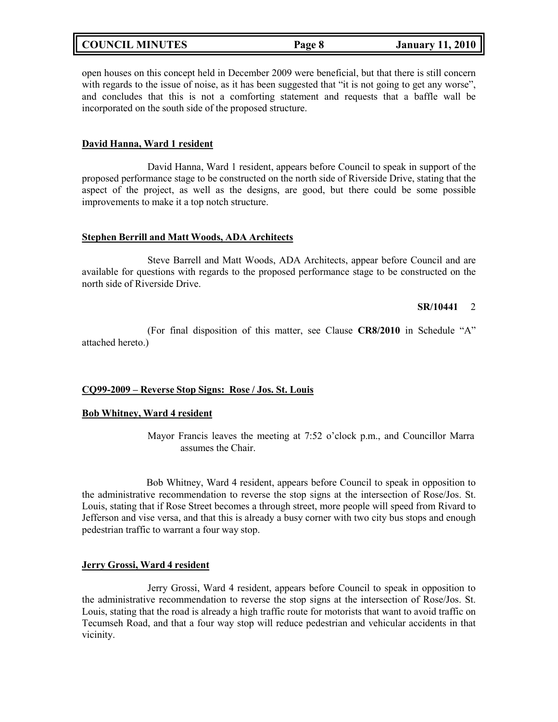| <b>COUNCIL MINUTES</b> |  |
|------------------------|--|
|------------------------|--|

open houses on this concept held in December 2009 were beneficial, but that there is still concern with regards to the issue of noise, as it has been suggested that "it is not going to get any worse", and concludes that this is not a comforting statement and requests that a baffle wall be incorporated on the south side of the proposed structure.

#### **David Hanna, Ward 1 resident**

David Hanna, Ward 1 resident, appears before Council to speak in support of the proposed performance stage to be constructed on the north side of Riverside Drive, stating that the aspect of the project, as well as the designs, are good, but there could be some possible improvements to make it a top notch structure.

#### **Stephen Berrill and Matt Woods, ADA Architects**

Steve Barrell and Matt Woods, ADA Architects, appear before Council and are available for questions with regards to the proposed performance stage to be constructed on the north side of Riverside Drive.

#### **SR/10441** 2

(For final disposition of this matter, see Clause **CR8/2010** in Schedule "A" attached hereto.)

#### **CQ99-2009 – Reverse Stop Signs: Rose / Jos. St. Louis**

### **Bob Whitney, Ward 4 resident**

Mayor Francis leaves the meeting at 7:52 o'clock p.m., and Councillor Marra assumes the Chair.

Bob Whitney, Ward 4 resident, appears before Council to speak in opposition to the administrative recommendation to reverse the stop signs at the intersection of Rose/Jos. St. Louis, stating that if Rose Street becomes a through street, more people will speed from Rivard to Jefferson and vise versa, and that this is already a busy corner with two city bus stops and enough pedestrian traffic to warrant a four way stop.

#### **Jerry Grossi, Ward 4 resident**

Jerry Grossi, Ward 4 resident, appears before Council to speak in opposition to the administrative recommendation to reverse the stop signs at the intersection of Rose/Jos. St. Louis, stating that the road is already a high traffic route for motorists that want to avoid traffic on Tecumseh Road, and that a four way stop will reduce pedestrian and vehicular accidents in that vicinity.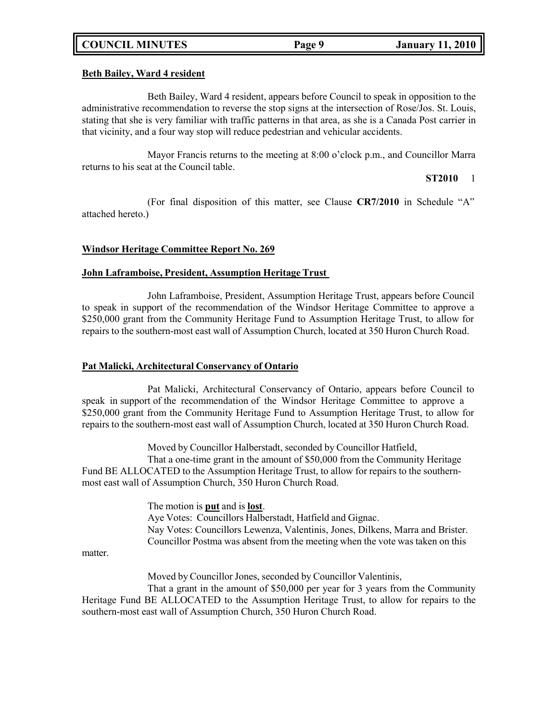### **Beth Bailey, Ward 4 resident**

Beth Bailey, Ward 4 resident, appears before Council to speak in opposition to the administrative recommendation to reverse the stop signs at the intersection of Rose/Jos. St. Louis, stating that she is very familiar with traffic patterns in that area, as she is a Canada Post carrier in that vicinity, and a four way stop will reduce pedestrian and vehicular accidents.

Mayor Francis returns to the meeting at 8:00 o'clock p.m., and Councillor Marra returns to his seat at the Council table.

#### **ST2010** 1

(For final disposition of this matter, see Clause **CR7/2010** in Schedule "A" attached hereto.)

### **Windsor Heritage Committee Report No. 269**

#### **John Laframboise, President, Assumption Heritage Trust**

John Laframboise, President, Assumption Heritage Trust, appears before Council to speak in support of the recommendation of the Windsor Heritage Committee to approve a \$250,000 grant from the Community Heritage Fund to Assumption Heritage Trust, to allow for repairs to the southern-most east wall of Assumption Church, located at 350 Huron Church Road.

#### **Pat Malicki, Architectural Conservancy of Ontario**

Pat Malicki, Architectural Conservancy of Ontario, appears before Council to speak in support of the recommendation of the Windsor Heritage Committee to approve a \$250,000 grant from the Community Heritage Fund to Assumption Heritage Trust, to allow for repairs to the southern-most east wall of Assumption Church, located at 350 Huron Church Road.

Moved by Councillor Halberstadt, seconded by Councillor Hatfield,

That a one-time grant in the amount of \$50,000 from the Community Heritage Fund BE ALLOCATED to the Assumption Heritage Trust, to allow for repairs to the southernmost east wall of Assumption Church, 350 Huron Church Road.

> The motion is **put** and is **lost**. Aye Votes: Councillors Halberstadt, Hatfield and Gignac. Nay Votes: Councillors Lewenza, Valentinis, Jones, Dilkens, Marra and Brister. Councillor Postma was absent from the meeting when the vote was taken on this

matter.

Moved by Councillor Jones, seconded by Councillor Valentinis,

That a grant in the amount of \$50,000 per year for 3 years from the Community Heritage Fund BE ALLOCATED to the Assumption Heritage Trust, to allow for repairs to the southern-most east wall of Assumption Church, 350 Huron Church Road.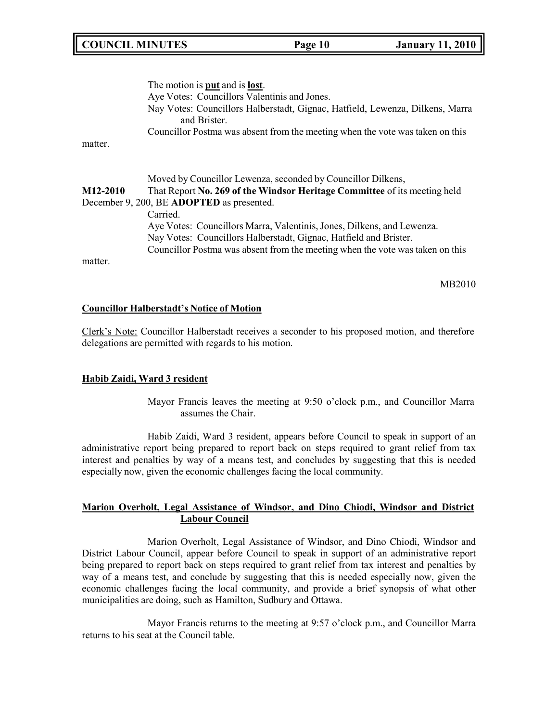## **COUNCIL MINUTES Page 10 January 11, 2010**

matter. The motion is **put** and is **lost**. Aye Votes: Councillors Valentinis and Jones. Nay Votes: Councillors Halberstadt, Gignac, Hatfield, Lewenza, Dilkens, Marra and Brister. Councillor Postma was absent from the meeting when the vote was taken on this Moved by Councillor Lewenza, seconded by Councillor Dilkens, **M12-2010** That Report **No. 269 of the Windsor Heritage Committee** of its meeting held December 9, 200, BE **ADOPTED** as presented. Carried. Aye Votes: Councillors Marra, Valentinis, Jones, Dilkens, and Lewenza. Nay Votes: Councillors Halberstadt, Gignac, Hatfield and Brister. Councillor Postma was absent from the meeting when the vote was taken on this matter.

MB2010

#### **Councillor Halberstadt's Notice of Motion**

Clerk's Note: Councillor Halberstadt receives a seconder to his proposed motion, and therefore delegations are permitted with regards to his motion.

#### **Habib Zaidi, Ward 3 resident**

Mayor Francis leaves the meeting at 9:50 o'clock p.m., and Councillor Marra assumes the Chair.

Habib Zaidi, Ward 3 resident, appears before Council to speak in support of an administrative report being prepared to report back on steps required to grant relief from tax interest and penalties by way of a means test, and concludes by suggesting that this is needed especially now, given the economic challenges facing the local community.

### **Marion Overholt, Legal Assistance of Windsor, and Dino Chiodi, Windsor and District Labour Council**

Marion Overholt, Legal Assistance of Windsor, and Dino Chiodi, Windsor and District Labour Council, appear before Council to speak in support of an administrative report being prepared to report back on steps required to grant relief from tax interest and penalties by way of a means test, and conclude by suggesting that this is needed especially now, given the economic challenges facing the local community, and provide a brief synopsis of what other municipalities are doing, such as Hamilton, Sudbury and Ottawa.

Mayor Francis returns to the meeting at 9:57 o'clock p.m., and Councillor Marra returns to his seat at the Council table.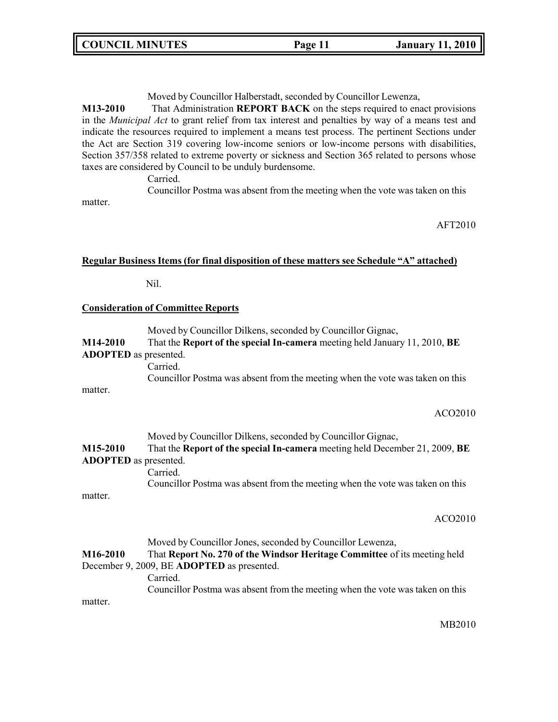Moved by Councillor Halberstadt, seconded by Councillor Lewenza,

**M13-2010** That Administration **REPORT BACK** on the steps required to enact provisions in the *Municipal Act* to grant relief from tax interest and penalties by way of a means test and indicate the resources required to implement a means test process. The pertinent Sections under the Act are Section 319 covering low-income seniors or low-income persons with disabilities, Section 357/358 related to extreme poverty or sickness and Section 365 related to persons whose taxes are considered by Council to be unduly burdensome.

Carried.

Councillor Postma was absent from the meeting when the vote was taken on this matter.

AFT2010

## **Regular Business Items (for final disposition of these matters see Schedule "A" attached)**

Nil.

### **Consideration of Committee Reports**

|                              | Moved by Councillor Dilkens, seconded by Councillor Gignac,                   |
|------------------------------|-------------------------------------------------------------------------------|
| M14-2010                     | That the Report of the special In-camera meeting held January 11, 2010, BE    |
| <b>ADOPTED</b> as presented. |                                                                               |
|                              | Carried.                                                                      |
|                              | Councillor Postma was absent from the meeting when the vote was taken on this |
| matter.                      |                                                                               |

#### ACO2010

| M15-2010                     | Moved by Councillor Dilkens, seconded by Councillor Gignac,<br>That the Report of the special In-camera meeting held December 21, 2009, BE |
|------------------------------|--------------------------------------------------------------------------------------------------------------------------------------------|
| <b>ADOPTED</b> as presented. |                                                                                                                                            |
|                              | Carried.                                                                                                                                   |
|                              | Councillor Postma was absent from the meeting when the vote was taken on this                                                              |
| matter.                      |                                                                                                                                            |

#### ACO2010

Moved by Councillor Jones, seconded by Councillor Lewenza, **M16-2010** That **Report No. 270 of the Windsor Heritage Committee** of its meeting held December 9, 2009, BE **ADOPTED** as presented. Carried. Councillor Postma was absent from the meeting when the vote was taken on this matter.

MB2010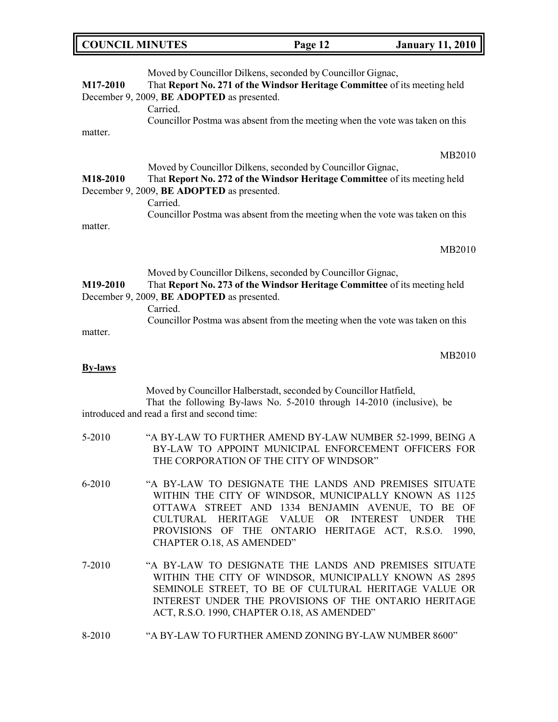|  | <b>COUNCIL MINUTES</b> | Page 12 | <b>January 11, 2010</b> |
|--|------------------------|---------|-------------------------|
|--|------------------------|---------|-------------------------|

| M17-2010                       | Moved by Councillor Dilkens, seconded by Councillor Gignac,<br>That Report No. 271 of the Windsor Heritage Committee of its meeting held<br>December 9, 2009, BE ADOPTED as presented.<br>Carried.<br>Councillor Postma was absent from the meeting when the vote was taken on this                      |
|--------------------------------|----------------------------------------------------------------------------------------------------------------------------------------------------------------------------------------------------------------------------------------------------------------------------------------------------------|
| matter.<br>M18-2010<br>matter. | MB2010<br>Moved by Councillor Dilkens, seconded by Councillor Gignac,<br>That Report No. 272 of the Windsor Heritage Committee of its meeting held<br>December 9, 2009, BE ADOPTED as presented.<br>Carried.<br>Councillor Postma was absent from the meeting when the vote was taken on this            |
|                                | MB2010                                                                                                                                                                                                                                                                                                   |
| M19-2010                       | Moved by Councillor Dilkens, seconded by Councillor Gignac,<br>That Report No. 273 of the Windsor Heritage Committee of its meeting held<br>December 9, 2009, BE ADOPTED as presented.<br>Carried.                                                                                                       |
| matter.                        | Councillor Postma was absent from the meeting when the vote was taken on this                                                                                                                                                                                                                            |
| <b>By-laws</b>                 | MB2010                                                                                                                                                                                                                                                                                                   |
|                                | Moved by Councillor Halberstadt, seconded by Councillor Hatfield,<br>That the following By-laws No. 5-2010 through 14-2010 (inclusive), be<br>introduced and read a first and second time:                                                                                                               |
| 5-2010                         | "A BY-LAW TO FURTHER AMEND BY-LAW NUMBER 52-1999, BEING A<br>BY-LAW TO APPOINT MUNICIPAL ENFORCEMENT OFFICERS FOR<br>THE CORPORATION OF THE CITY OF WINDSOR"                                                                                                                                             |
| 6-2010                         | "A BY-LAW TO DESIGNATE THE LANDS AND PREMISES SITUATE<br>WITHIN THE CITY OF WINDSOR, MUNICIPALLY KNOWN AS 1125<br>OTTAWA STREET AND 1334 BENJAMIN AVENUE, TO BE OF<br>CULTURAL HERITAGE VALUE OR INTEREST UNDER THE<br>PROVISIONS OF THE ONTARIO HERITAGE ACT, R.S.O. 1990,<br>CHAPTER O.18, AS AMENDED" |
| 7-2010                         | "A BY-LAW TO DESIGNATE THE LANDS AND PREMISES SITUATE<br>WITHIN THE CITY OF WINDSOR, MUNICIPALLY KNOWN AS 2895<br>SEMINOLE STREET, TO BE OF CULTURAL HERITAGE VALUE OR<br>INTEREST UNDER THE PROVISIONS OF THE ONTARIO HERITAGE<br>ACT, R.S.O. 1990, CHAPTER O.18, AS AMENDED"                           |
| 8-2010                         | "A BY-LAW TO FURTHER AMEND ZONING BY-LAW NUMBER 8600"                                                                                                                                                                                                                                                    |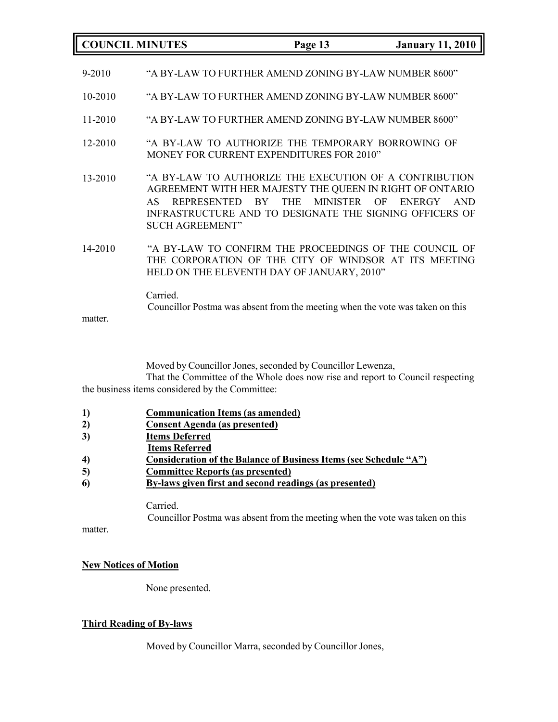|         | <b>COUNCIL MINUTES</b>                             | Page 13                                                                                                                                                                                                                     | <b>January 11, 2010</b>           |
|---------|----------------------------------------------------|-----------------------------------------------------------------------------------------------------------------------------------------------------------------------------------------------------------------------------|-----------------------------------|
| 9-2010  |                                                    | "A BY-LAW TO FURTHER AMEND ZONING BY-LAW NUMBER 8600"                                                                                                                                                                       |                                   |
| 10-2010 |                                                    | "A BY-LAW TO FURTHER AMEND ZONING BY-LAW NUMBER 8600"                                                                                                                                                                       |                                   |
| 11-2010 |                                                    | "A BY-LAW TO FURTHER AMEND ZONING BY-LAW NUMBER 8600"                                                                                                                                                                       |                                   |
| 12-2010 |                                                    | "A BY-LAW TO AUTHORIZE THE TEMPORARY BORROWING OF<br>MONEY FOR CURRENT EXPENDITURES FOR 2010"                                                                                                                               |                                   |
| 13-2010 | <b>REPRESENTED</b><br>AS<br><b>SUCH AGREEMENT"</b> | "A BY-LAW TO AUTHORIZE THE EXECUTION OF A CONTRIBUTION<br>AGREEMENT WITH HER MAJESTY THE QUEEN IN RIGHT OF ONTARIO<br><b>THE</b><br><b>MINISTER</b><br><b>BY</b><br>INFRASTRUCTURE AND TO DESIGNATE THE SIGNING OFFICERS OF | OF<br><b>AND</b><br><b>ENERGY</b> |
| 14-2010 |                                                    | "A BY-LAW TO CONFIRM THE PROCEEDINGS OF THE COUNCIL OF<br>THE CORPORATION OF THE CITY OF WINDSOR AT ITS MEETING<br>HELD ON THE ELEVENTH DAY OF JANUARY, 2010"                                                               |                                   |
| matter. | Carried.                                           | Councillor Postma was absent from the meeting when the vote was taken on this                                                                                                                                               |                                   |

Moved by Councillor Jones, seconded by Councillor Lewenza,

That the Committee of the Whole does now rise and report to Council respecting the business items considered by the Committee:

- **1) Communication Items (as amended)**
- **2) Consent Agenda (as presented)**
- **3) Items Deferred**
- **Items Referred**
- **4) Consideration of the Balance of Business Items (see Schedule "A")**
- **5) Committee Reports (as presented)**
- **6) By-laws given first and second readings (as presented)**

Carried. Councillor Postma was absent from the meeting when the vote was taken on this

matter.

### **New Notices of Motion**

None presented.

### **Third Reading of By-laws**

Moved by Councillor Marra, seconded by Councillor Jones,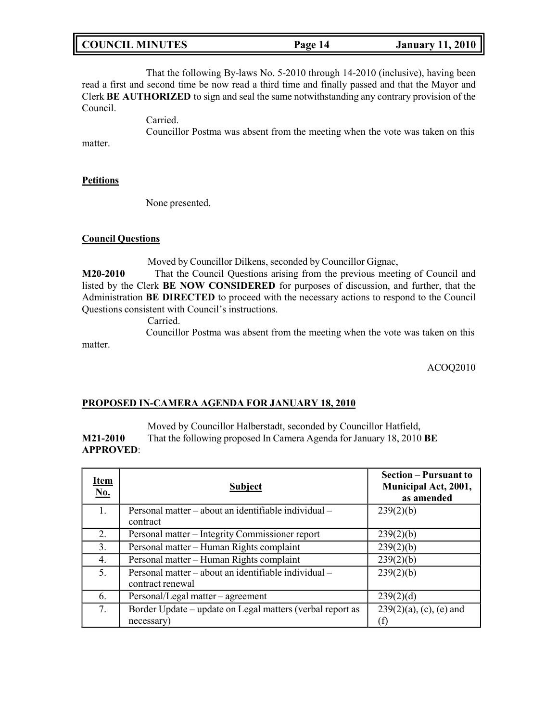| <b>January 11, 2010</b><br><b>COUNCIL MINUTES</b><br>Page 14 |
|--------------------------------------------------------------|
|--------------------------------------------------------------|

That the following By-laws No. 5-2010 through 14-2010 (inclusive), having been read a first and second time be now read a third time and finally passed and that the Mayor and Clerk **BE AUTHORIZED** to sign and seal the same notwithstanding any contrary provision of the Council.

Carried.

Councillor Postma was absent from the meeting when the vote was taken on this

matter.

### **Petitions**

matter.

None presented.

### **Council Questions**

Moved by Councillor Dilkens, seconded by Councillor Gignac,

**M20-2010** That the Council Questions arising from the previous meeting of Council and listed by the Clerk **BE NOW CONSIDERED** for purposes of discussion, and further, that the Administration **BE DIRECTED** to proceed with the necessary actions to respond to the Council Questions consistent with Council's instructions.

Carried.

Councillor Postma was absent from the meeting when the vote was taken on this

ACOQ2010

### **PROPOSED IN-CAMERA AGENDA FOR JANUARY 18, 2010**

Moved by Councillor Halberstadt, seconded by Councillor Hatfield, **M21-2010** That the following proposed In Camera Agenda for January 18, 2010 **BE APPROVED**:

| <u>Item</u><br><u>No.</u> | <b>Subject</b>                                                           | <b>Section – Pursuant to</b><br>Municipal Act, 2001,<br>as amended |
|---------------------------|--------------------------------------------------------------------------|--------------------------------------------------------------------|
| 1.                        | Personal matter – about an identifiable individual –<br>contract         | 239(2)(b)                                                          |
| 2.                        | Personal matter - Integrity Commissioner report                          | 239(2)(b)                                                          |
| 3.                        | Personal matter - Human Rights complaint                                 | 239(2)(b)                                                          |
| 4.                        | Personal matter - Human Rights complaint                                 | 239(2)(b)                                                          |
| 5.                        | Personal matter – about an identifiable individual –<br>contract renewal | 239(2)(b)                                                          |
| 6.                        | Personal/Legal matter – agreement                                        | 239(2)(d)                                                          |
| 7.                        | Border Update – update on Legal matters (verbal report as<br>necessary)  | $239(2)(a)$ , (c), (e) and                                         |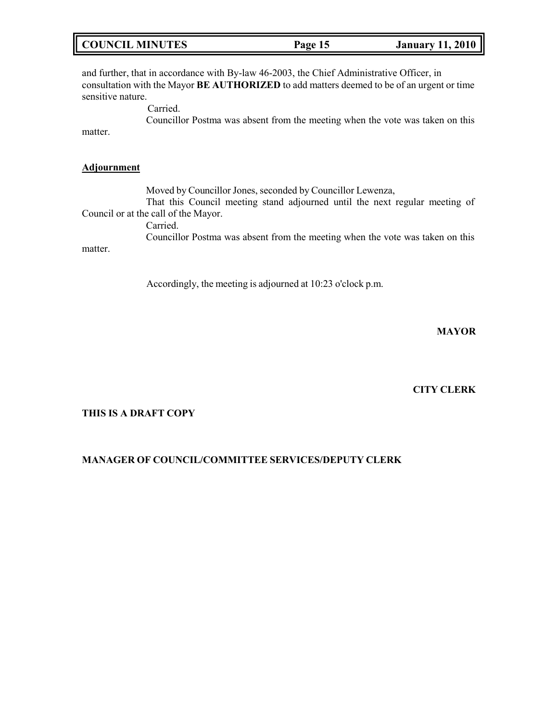|  | <b>COUNCIL MINUTES</b> | Page 15 | <b>January 11, 2010</b> |
|--|------------------------|---------|-------------------------|
|--|------------------------|---------|-------------------------|

and further, that in accordance with By-law 46-2003, the Chief Administrative Officer, in consultation with the Mayor **BE AUTHORIZED** to add matters deemed to be of an urgent or time sensitive nature.

> Carried. Councillor Postma was absent from the meeting when the vote was taken on this

matter.

### **Adjournment**

Moved by Councillor Jones, seconded by Councillor Lewenza, That this Council meeting stand adjourned until the next regular meeting of Council or at the call of the Mayor.

Carried.

Councillor Postma was absent from the meeting when the vote was taken on this matter.

Accordingly, the meeting is adjourned at 10:23 o'clock p.m.

**MAYOR**

**CITY CLERK**

### **THIS IS A DRAFT COPY**

### **MANAGER OF COUNCIL/COMMITTEE SERVICES/DEPUTY CLERK**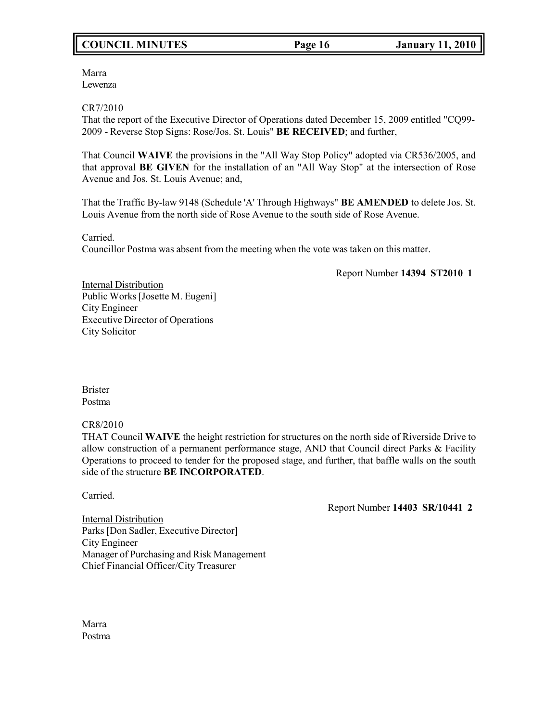# **COUNCIL MINUTES Page 16 January 11, 2010**

Marra Lewenza

CR7/2010

That the report of the Executive Director of Operations dated December 15, 2009 entitled "CQ99- 2009 - Reverse Stop Signs: Rose/Jos. St. Louis" **BE RECEIVED**; and further,

That Council **WAIVE** the provisions in the "All Way Stop Policy" adopted via CR536/2005, and that approval **BE GIVEN** for the installation of an "All Way Stop" at the intersection of Rose Avenue and Jos. St. Louis Avenue; and,

That the Traffic By-law 9148 (Schedule 'A' Through Highways" **BE AMENDED** to delete Jos. St. Louis Avenue from the north side of Rose Avenue to the south side of Rose Avenue.

Carried.

Councillor Postma was absent from the meeting when the vote was taken on this matter.

Report Number **14394 ST2010 1**

Internal Distribution Public Works [Josette M. Eugeni] City Engineer Executive Director of Operations City Solicitor

Brister Postma

### CR8/2010

THAT Council **WAIVE** the height restriction for structures on the north side of Riverside Drive to allow construction of a permanent performance stage, AND that Council direct Parks & Facility Operations to proceed to tender for the proposed stage, and further, that baffle walls on the south side of the structure **BE INCORPORATED**.

Carried.

Report Number **14403 SR/10441 2**

Internal Distribution Parks [Don Sadler, Executive Director] City Engineer Manager of Purchasing and Risk Management Chief Financial Officer/City Treasurer

Marra Postma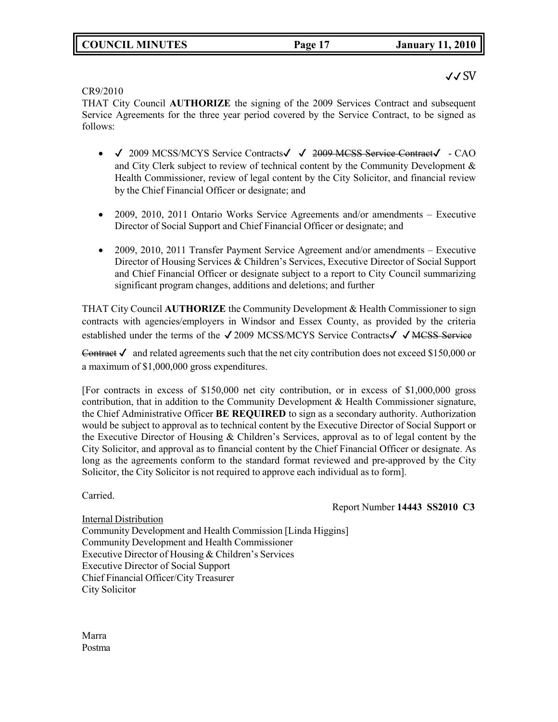# **COUNCIL MINUTES Page 17 January 11, 2010**

## ✔✔ SV

CR9/2010

THAT City Council **AUTHORIZE** the signing of the 2009 Services Contract and subsequent Service Agreements for the three year period covered by the Service Contract, to be signed as follows:

- √ 2009 MCSS/MCYS Service Contracts√ √ <del>2009 MCSS Service Contract</del>√ CAO and City Clerk subject to review of technical content by the Community Development & Health Commissioner, review of legal content by the City Solicitor, and financial review by the Chief Financial Officer or designate; and
- 2009, 2010, 2011 Ontario Works Service Agreements and/or amendments Executive Director of Social Support and Chief Financial Officer or designate; and
- 2009, 2010, 2011 Transfer Payment Service Agreement and/or amendments Executive Director of Housing Services & Children's Services, Executive Director of Social Support and Chief Financial Officer or designate subject to a report to City Council summarizing significant program changes, additions and deletions; and further

THAT City Council **AUTHORIZE** the Community Development & Health Commissioner to sign contracts with agencies/employers in Windsor and Essex County, as provided by the criteria established under the terms of the √2009 MCSS/MCYS Service Contracts√ √ MCSS Service

Contract  $\checkmark$  and related agreements such that the net city contribution does not exceed \$150,000 or a maximum of \$1,000,000 gross expenditures.

[For contracts in excess of \$150,000 net city contribution, or in excess of \$1,000,000 gross contribution, that in addition to the Community Development & Health Commissioner signature, the Chief Administrative Officer **BE REQUIRED** to sign as a secondary authority. Authorization would be subject to approval as to technical content by the Executive Director of Social Support or the Executive Director of Housing & Children's Services, approval as to of legal content by the City Solicitor, and approval as to financial content by the Chief Financial Officer or designate. As long as the agreements conform to the standard format reviewed and pre-approved by the City Solicitor, the City Solicitor is not required to approve each individual as to form].

Carried.

Report Number **14443 SS2010 C3**

Internal Distribution Community Development and Health Commission [Linda Higgins] Community Development and Health Commissioner Executive Director of Housing & Children's Services Executive Director of Social Support Chief Financial Officer/City Treasurer City Solicitor

Marra Postma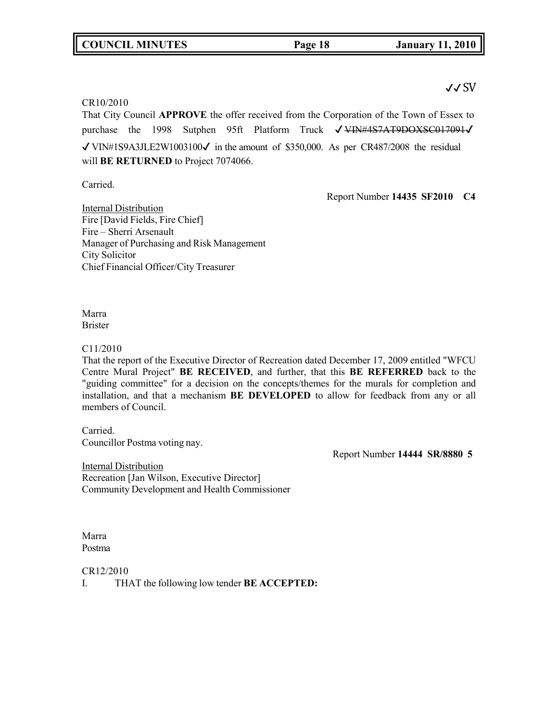## **COUNCIL MINUTES Page 18 January 11, 2010**

## ✔✔ SV

### CR10/2010

That City Council **APPROVE** the offer received from the Corporation of the Town of Essex to purchase the 1998 Sutphen 95ft Platform Truck √ VIN#4S7AT9DOXSC017091√  $\sqrt{\text{VINH}}$ 1S9A3JLE2W1003100 $\sqrt{\text{}}$  in the amount of \$350,000. As per CR487/2008 the residual will **BE RETURNED** to Project 7074066.

Carried.

Report Number **14435 SF2010 C4**

Internal Distribution Fire [David Fields, Fire Chief] Fire – Sherri Arsenault Manager of Purchasing and Risk Management City Solicitor Chief Financial Officer/City Treasurer

Marra Brister

C11/2010

That the report of the Executive Director of Recreation dated December 17, 2009 entitled "WFCU Centre Mural Project" **BE RECEIVED**, and further, that this **BE REFERRED** back to the "guiding committee" for a decision on the concepts/themes for the murals for completion and installation, and that a mechanism **BE DEVELOPED** to allow for feedback from any or all members of Council.

Carried.

Councillor Postma voting nay.

Report Number **14444 SR/8880 5**

Internal Distribution Recreation [Jan Wilson, Executive Director] Community Development and Health Commissioner

Marra Postma

CR12/2010

I. THAT the following low tender **BE ACCEPTED:**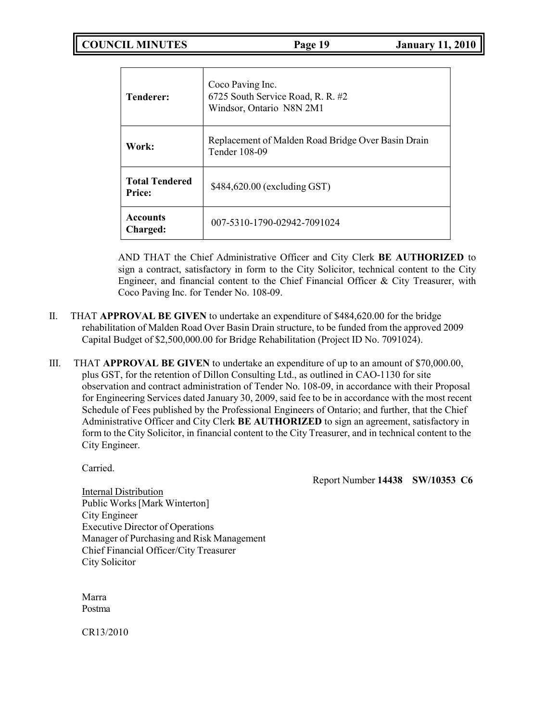**COUNCIL MINUTES Page 19 January 11, 2010**

| Tenderer:                              | Coco Paving Inc.<br>6725 South Service Road, R. R. #2<br>Windsor, Ontario N8N 2M1 |
|----------------------------------------|-----------------------------------------------------------------------------------|
| Work:                                  | Replacement of Malden Road Bridge Over Basin Drain<br>Tender 108-09               |
| <b>Total Tendered</b><br><b>Price:</b> | \$484,620.00 (excluding GST)                                                      |
| <b>Accounts</b><br>Charged:            | 007-5310-1790-02942-7091024                                                       |

AND THAT the Chief Administrative Officer and City Clerk **BE AUTHORIZED** to sign a contract, satisfactory in form to the City Solicitor, technical content to the City Engineer, and financial content to the Chief Financial Officer & City Treasurer, with Coco Paving Inc. for Tender No. 108-09.

- II. THAT **APPROVAL BE GIVEN** to undertake an expenditure of \$484,620.00 for the bridge rehabilitation of Malden Road Over Basin Drain structure, to be funded from the approved 2009 Capital Budget of \$2,500,000.00 for Bridge Rehabilitation (Project ID No. 7091024).
- III. THAT **APPROVAL BE GIVEN** to undertake an expenditure of up to an amount of \$70,000.00, plus GST, for the retention of Dillon Consulting Ltd., as outlined in CAO-1130 for site observation and contract administration of Tender No. 108-09, in accordance with their Proposal for Engineering Services dated January 30, 2009, said fee to be in accordance with the most recent Schedule of Fees published by the Professional Engineers of Ontario; and further, that the Chief Administrative Officer and City Clerk **BE AUTHORIZED** to sign an agreement, satisfactory in form to the City Solicitor, in financial content to the City Treasurer, and in technical content to the City Engineer.

Carried.

Report Number **14438 SW/10353 C6**

Internal Distribution Public Works[Mark Winterton] City Engineer Executive Director of Operations Manager of Purchasing and Risk Management Chief Financial Officer/City Treasurer City Solicitor

Marra Postma

CR13/2010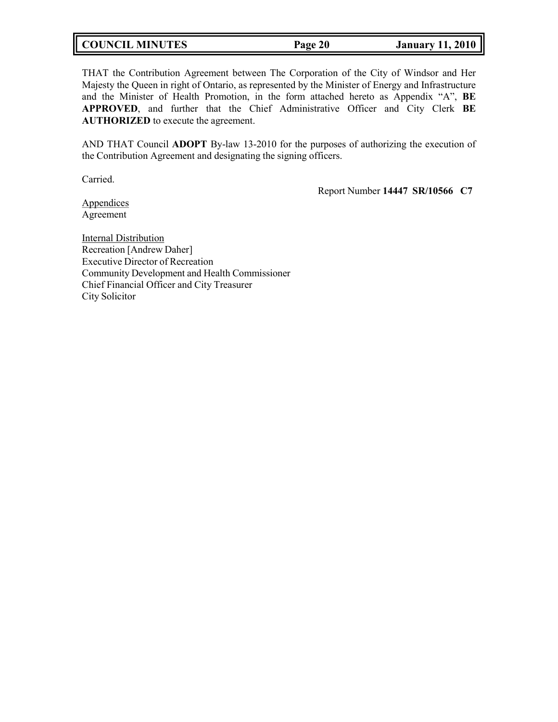| <b>COUNCIL MINUTES</b> | Page 20 | <b>January 11, 2010</b> |
|------------------------|---------|-------------------------|
|------------------------|---------|-------------------------|

THAT the Contribution Agreement between The Corporation of the City of Windsor and Her Majesty the Queen in right of Ontario, as represented by the Minister of Energy and Infrastructure and the Minister of Health Promotion, in the form attached hereto as Appendix "A", **BE APPROVED**, and further that the Chief Administrative Officer and City Clerk **BE AUTHORIZED** to execute the agreement.

AND THAT Council **ADOPT** By-law 13-2010 for the purposes of authorizing the execution of the Contribution Agreement and designating the signing officers.

Carried.

Report Number **14447 SR/10566 C7**

Appendices Agreement

Internal Distribution Recreation [Andrew Daher] Executive Director of Recreation Community Development and Health Commissioner Chief Financial Officer and City Treasurer City Solicitor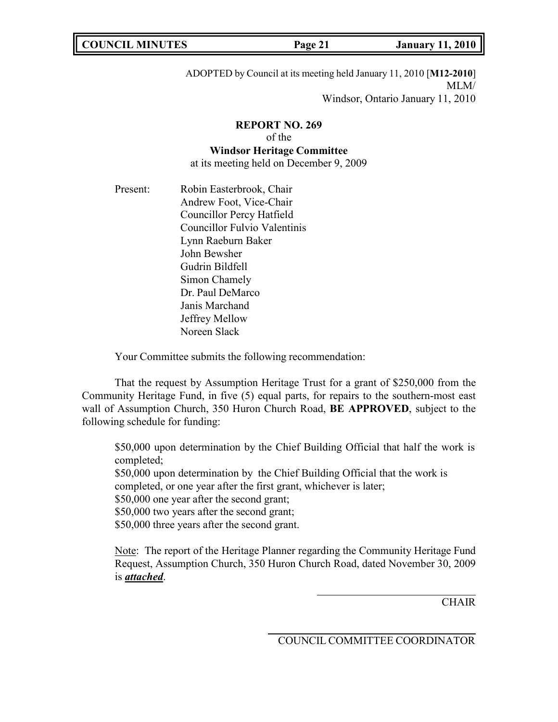|--|

ADOPTED by Council at its meeting held January 11, 2010 [**M12-2010**] MLM/ Windsor, Ontario January 11, 2010

## **REPORT NO. 269** of the

### **Windsor Heritage Committee**

at its meeting held on December 9, 2009

Present: Robin Easterbrook, Chair Andrew Foot, Vice-Chair Councillor Percy Hatfield Councillor Fulvio Valentinis Lynn Raeburn Baker John Bewsher Gudrin Bildfell Simon Chamely Dr. Paul DeMarco Janis Marchand Jeffrey Mellow Noreen Slack

Your Committee submits the following recommendation:

That the request by Assumption Heritage Trust for a grant of \$250,000 from the Community Heritage Fund, in five (5) equal parts, for repairs to the southern-most east wall of Assumption Church, 350 Huron Church Road, **BE APPROVED**, subject to the following schedule for funding:

\$50,000 upon determination by the Chief Building Official that half the work is completed; \$50,000 upon determination by the Chief Building Official that the work is completed, or one year after the first grant, whichever is later; \$50,000 one year after the second grant; \$50,000 two years after the second grant; \$50,000 three years after the second grant.

Note: The report of the Heritage Planner regarding the Community Heritage Fund Request, Assumption Church, 350 Huron Church Road, dated November 30, 2009 is *attached*.

**CHAIR**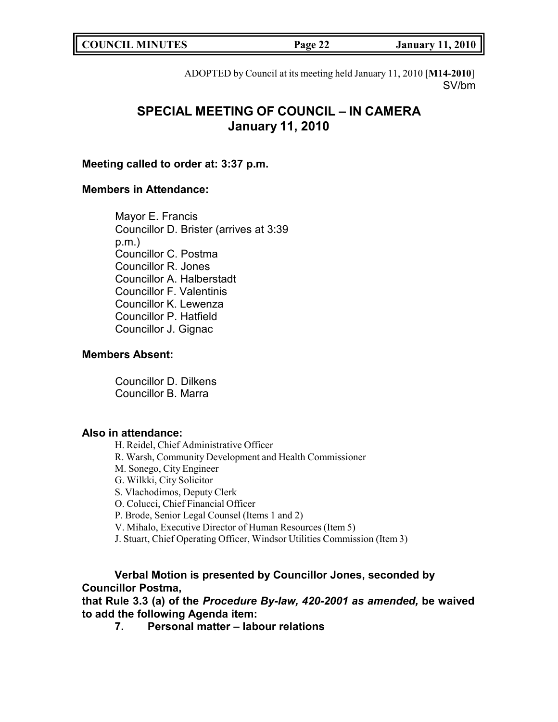| <b>COUNCIL MINUTES</b> | Page<br>77 | 11, 2010<br><b>January</b> |
|------------------------|------------|----------------------------|
|                        |            |                            |

ADOPTED by Council at its meeting held January 11, 2010 [**M14-2010**] SV/bm

# **SPECIAL MEETING OF COUNCIL – IN CAMERA January 11, 2010**

### **Meeting called to order at: 3:37 p.m.**

## **Members in Attendance:**

Mayor E. Francis Councillor D. Brister (arrives at 3:39 p.m.) Councillor C. Postma Councillor R. Jones Councillor A. Halberstadt Councillor F. Valentinis Councillor K. Lewenza Councillor P. Hatfield Councillor J. Gignac

## **Members Absent:**

Councillor D. Dilkens Councillor B. Marra

## **Also in attendance:**

H. Reidel, Chief Administrative Officer R. Warsh, Community Development and Health Commissioner M. Sonego, City Engineer G. Wilkki, City Solicitor S. Vlachodimos, Deputy Clerk O. Colucci, Chief Financial Officer P. Brode, Senior Legal Counsel (Items 1 and 2) V. Mihalo, Executive Director of Human Resources (Item 5) J. Stuart, Chief Operating Officer, Windsor Utilities Commission (Item 3)

## **Verbal Motion is presented by Councillor Jones, seconded by Councillor Postma,**

**that Rule 3.3 (a) of the** *Procedure By-law, 420-2001 as amended,* **be waived to add the following Agenda item:**

**7. Personal matter – labour relations**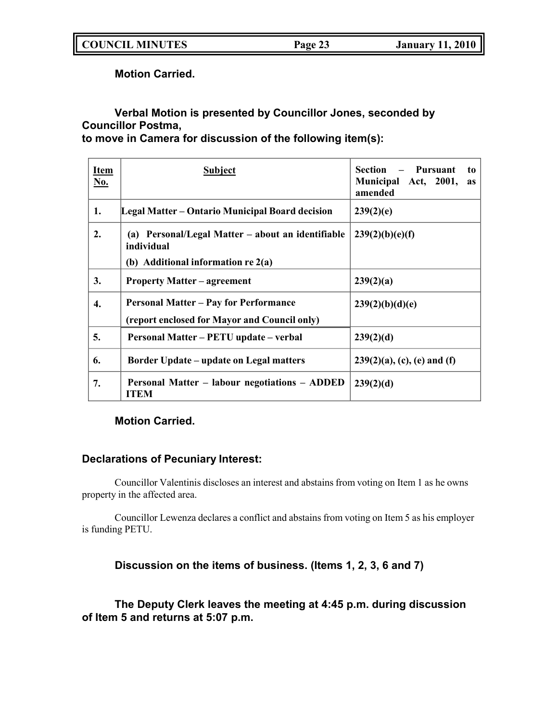**COUNCIL MINUTES Page 23 January 11, 2010**

**Motion Carried.**

# **Verbal Motion is presented by Councillor Jones, seconded by Councillor Postma,**

**to move in Camera for discussion of the following item(s):**

| <b>Item</b><br>No. | <b>Subject</b>                                                  | Section – Pursuant<br>to<br>Municipal Act, 2001,<br>as<br>amended |
|--------------------|-----------------------------------------------------------------|-------------------------------------------------------------------|
| 1.                 | Legal Matter – Ontario Municipal Board decision                 | 239(2)(e)                                                         |
| 2.                 | (a) Personal/Legal Matter – about an identifiable<br>individual | 239(2)(b)(e)(f)                                                   |
|                    | (b) Additional information $re 2(a)$                            |                                                                   |
| 3.                 | <b>Property Matter – agreement</b>                              | 239(2)(a)                                                         |
| 4.                 | <b>Personal Matter – Pay for Performance</b>                    | 239(2)(b)(d)(e)                                                   |
|                    | (report enclosed for Mayor and Council only)                    |                                                                   |
| 5.                 | Personal Matter – PETU update – verbal                          | 239(2)(d)                                                         |
| 6.                 | <b>Border Update – update on Legal matters</b>                  | $239(2)(a)$ , (c), (e) and (f)                                    |
| 7.                 | Personal Matter – labour negotiations – ADDED<br><b>ITEM</b>    | 239(2)(d)                                                         |

## **Motion Carried.**

## **Declarations of Pecuniary Interest:**

Councillor Valentinis discloses an interest and abstains from voting on Item 1 as he owns property in the affected area.

Councillor Lewenza declares a conflict and abstains from voting on Item 5 as his employer is funding PETU.

## **Discussion on the items of business. (Items 1, 2, 3, 6 and 7)**

**The Deputy Clerk leaves the meeting at 4:45 p.m. during discussion of Item 5 and returns at 5:07 p.m.**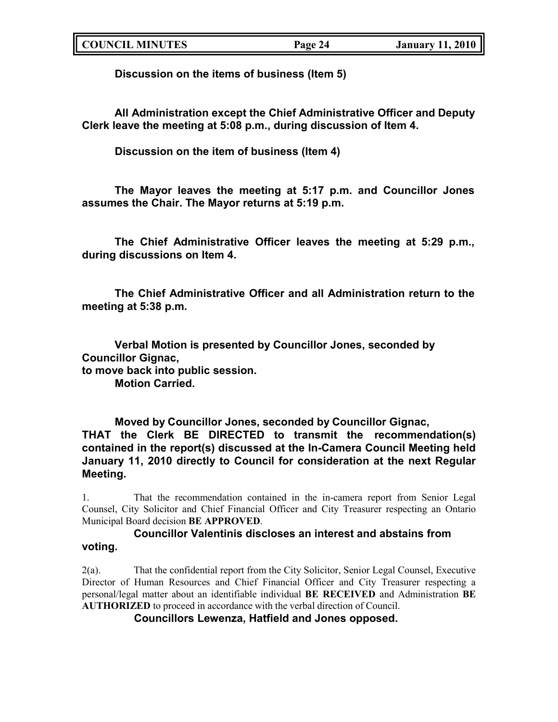**Discussion on the items of business (Item 5)**

**All Administration except the Chief Administrative Officer and Deputy Clerk leave the meeting at 5:08 p.m., during discussion of Item 4.**

**Discussion on the item of business (Item 4)**

**The Mayor leaves the meeting at 5:17 p.m. and Councillor Jones assumes the Chair. The Mayor returns at 5:19 p.m.**

**The Chief Administrative Officer leaves the meeting at 5:29 p.m., during discussions on Item 4.**

**The Chief Administrative Officer and all Administration return to the meeting at 5:38 p.m.**

**Verbal Motion is presented by Councillor Jones, seconded by Councillor Gignac, to move back into public session. Motion Carried.**

**Moved by Councillor Jones, seconded by Councillor Gignac, THAT the Clerk BE DIRECTED to transmit the recommendation(s) contained in the report(s) discussed at the In-Camera Council Meeting held January 11, 2010 directly to Council for consideration at the next Regular Meeting.**

1. That the recommendation contained in the in-camera report from Senior Legal Counsel, City Solicitor and Chief Financial Officer and City Treasurer respecting an Ontario Municipal Board decision **BE APPROVED**.

## **Councillor Valentinis discloses an interest and abstains from voting.**

2(a). That the confidential report from the City Solicitor, Senior Legal Counsel, Executive Director of Human Resources and Chief Financial Officer and City Treasurer respecting a personal/legal matter about an identifiable individual **BE RECEIVED** and Administration **BE AUTHORIZED** to proceed in accordance with the verbal direction of Council.

**Councillors Lewenza, Hatfield and Jones opposed.**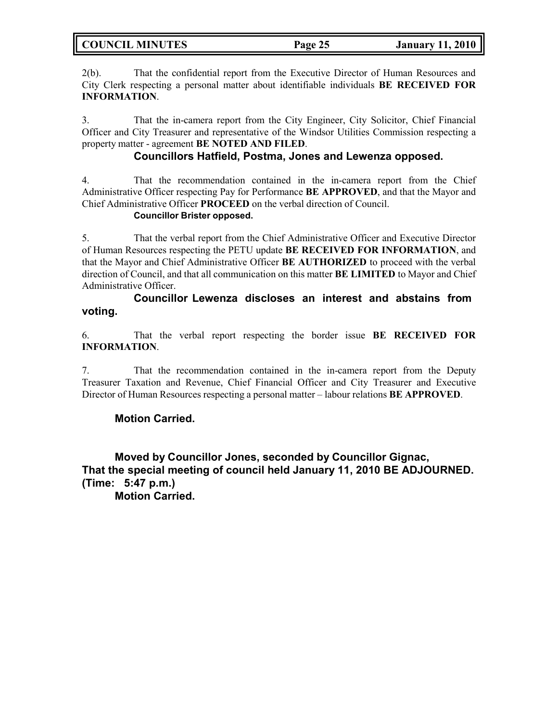**COUNCIL MINUTES Page 25 January 11, 2010**

2(b). That the confidential report from the Executive Director of Human Resources and City Clerk respecting a personal matter about identifiable individuals **BE RECEIVED FOR INFORMATION**.

3. That the in-camera report from the City Engineer, City Solicitor, Chief Financial Officer and City Treasurer and representative of the Windsor Utilities Commission respecting a property matter - agreement **BE NOTED AND FILED**.

## **Councillors Hatfield, Postma, Jones and Lewenza opposed.**

4. That the recommendation contained in the in-camera report from the Chief Administrative Officer respecting Pay for Performance **BE APPROVED**, and that the Mayor and Chief Administrative Officer **PROCEED** on the verbal direction of Council.

## **Councillor Brister opposed.**

5. That the verbal report from the Chief Administrative Officer and Executive Director of Human Resources respecting the PETU update **BE RECEIVED FOR INFORMATION**, and that the Mayor and Chief Administrative Officer **BE AUTHORIZED** to proceed with the verbal direction of Council, and that all communication on this matter **BE LIMITED** to Mayor and Chief Administrative Officer.

## **Councillor Lewenza discloses an interest and abstains from voting.**

6. That the verbal report respecting the border issue **BE RECEIVED FOR INFORMATION**.

7. That the recommendation contained in the in-camera report from the Deputy Treasurer Taxation and Revenue, Chief Financial Officer and City Treasurer and Executive Director of Human Resources respecting a personal matter – labour relations **BE APPROVED**.

## **Motion Carried.**

**Moved by Councillor Jones, seconded by Councillor Gignac, That the special meeting of council held January 11, 2010 BE ADJOURNED. (Time: 5:47 p.m.)**

**Motion Carried.**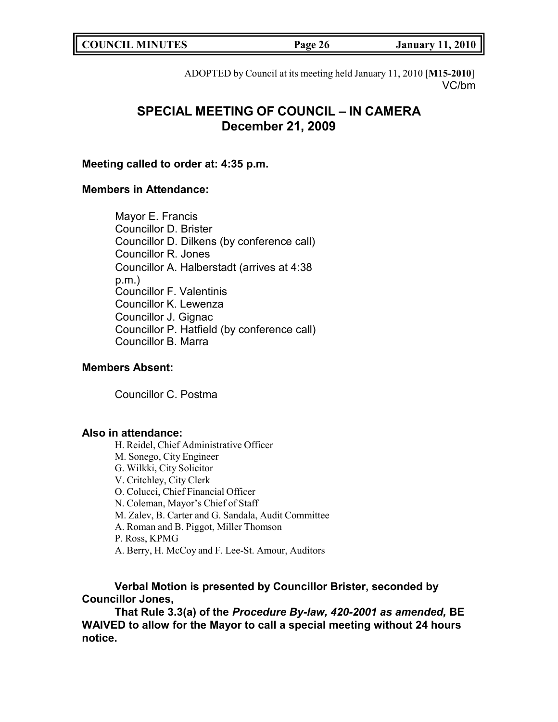| <b>COUNCIL MINUTES</b> | Page 26 | 11,2010<br>January |
|------------------------|---------|--------------------|
|                        |         |                    |

ADOPTED by Council at its meeting held January 11, 2010 [**M15-2010**] VC/bm

# **SPECIAL MEETING OF COUNCIL – IN CAMERA December 21, 2009**

#### **Meeting called to order at: 4:35 p.m.**

## **Members in Attendance:**

Mayor E. Francis Councillor D. Brister Councillor D. Dilkens (by conference call) Councillor R. Jones Councillor A. Halberstadt (arrives at 4:38 p.m.) Councillor F. Valentinis Councillor K. Lewenza Councillor J. Gignac Councillor P. Hatfield (by conference call) Councillor B. Marra

## **Members Absent:**

Councillor C. Postma

### **Also in attendance:**

H. Reidel, Chief Administrative Officer M. Sonego, City Engineer G. Wilkki, City Solicitor V. Critchley, City Clerk O. Colucci, Chief Financial Officer N. Coleman, Mayor's Chief of Staff M. Zalev, B. Carter and G. Sandala, Audit Committee A. Roman and B. Piggot, Miller Thomson P. Ross, KPMG A. Berry, H. McCoy and F. Lee-St. Amour, Auditors

## **Verbal Motion is presented by Councillor Brister, seconded by Councillor Jones,**

**That Rule 3.3(a) of the** *Procedure By-law, 420-2001 as amended,* **BE WAIVED to allow for the Mayor to call a special meeting without 24 hours notice.**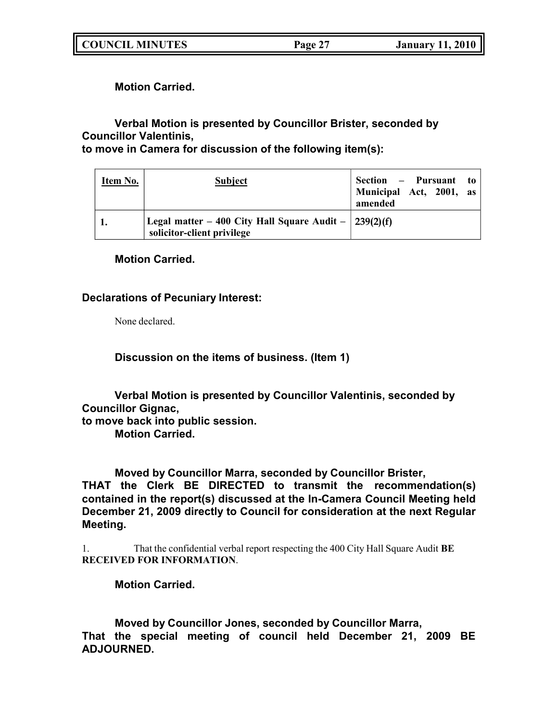**COUNCIL MINUTES Page 27 January 11, 2010**

**Motion Carried.**

**Verbal Motion is presented by Councillor Brister, seconded by Councillor Valentinis,**

**to move in Camera for discussion of the following item(s):**

| Item No. | <b>Subject</b>                                                                                   | Section – Pursuant to<br>Municipal Act, 2001, as<br>amended |
|----------|--------------------------------------------------------------------------------------------------|-------------------------------------------------------------|
|          | Legal matter – 400 City Hall Square Audit – $\frac{239(2)(f)}{25}$<br>solicitor-client privilege |                                                             |

**Motion Carried.**

## **Declarations of Pecuniary Interest:**

None declared.

**Discussion on the items of business. (Item 1)**

**Verbal Motion is presented by Councillor Valentinis, seconded by Councillor Gignac, to move back into public session. Motion Carried.**

**Moved by Councillor Marra, seconded by Councillor Brister, THAT the Clerk BE DIRECTED to transmit the recommendation(s) contained in the report(s) discussed at the In-Camera Council Meeting held December 21, 2009 directly to Council for consideration at the next Regular Meeting.**

1. That the confidential verbal report respecting the 400 City Hall Square Audit **BE RECEIVED FOR INFORMATION**.

**Motion Carried.**

**Moved by Councillor Jones, seconded by Councillor Marra, That the special meeting of council held December 21, 2009 BE ADJOURNED.**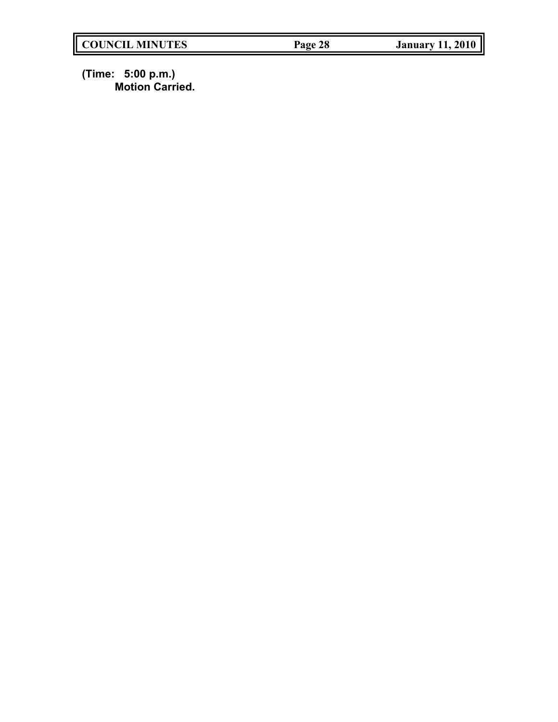**(Time: 5:00 p.m.) Motion Carried.**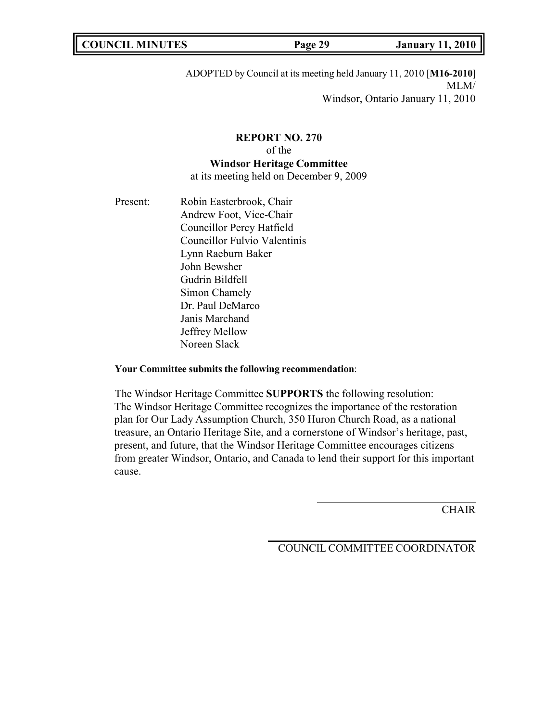|--|

ADOPTED by Council at its meeting held January 11, 2010 [**M16-2010**] MLM/ Windsor, Ontario January 11, 2010

# **REPORT NO. 270** of the **Windsor Heritage Committee**

at its meeting held on December 9, 2009

Present: Robin Easterbrook, Chair Andrew Foot, Vice-Chair Councillor Percy Hatfield Councillor Fulvio Valentinis Lynn Raeburn Baker John Bewsher Gudrin Bildfell Simon Chamely Dr. Paul DeMarco Janis Marchand Jeffrey Mellow Noreen Slack

### **Your Committee submits the following recommendation**:

The Windsor Heritage Committee **SUPPORTS** the following resolution: The Windsor Heritage Committee recognizes the importance of the restoration plan for Our Lady Assumption Church, 350 Huron Church Road, as a national treasure, an Ontario Heritage Site, and a cornerstone of Windsor's heritage, past, present, and future, that the Windsor Heritage Committee encourages citizens from greater Windsor, Ontario, and Canada to lend their support for this important cause.

CHAIR

COUNCIL COMMITTEE COORDINATOR